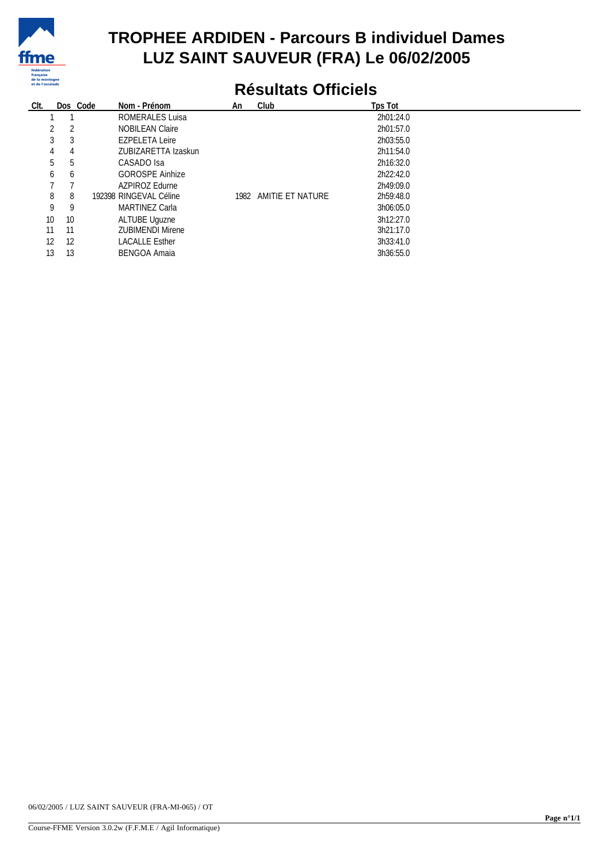

## **TROPHEE ARDIDEN - Parcours B individuel Dames LUZ SAINT SAUVEUR (FRA) Le 06/02/2005**

## **Résultats Officiels**

| CIt. |    | Dos Code | Nom - Prénom            | An | Club                  | Tps Tot   |
|------|----|----------|-------------------------|----|-----------------------|-----------|
|      |    |          | ROMERALES Luisa         |    |                       | 2h01:24.0 |
|      | 2  |          | <b>NOBILEAN Claire</b>  |    |                       | 2h01:57.0 |
| 3    | 3  |          | <b>EZPELETA Leire</b>   |    |                       | 2h03:55.0 |
| 4    | 4  |          | ZUBIZARETTA Izaskun     |    |                       | 2h11:54.0 |
| 5    | 5  |          | CASADO Isa              |    |                       | 2h16:32.0 |
| 6    | b  |          | <b>GOROSPE Ainhize</b>  |    |                       | 2h22:42.0 |
|      |    |          | AZPIROZ Edurne          |    |                       | 2h49:09.0 |
| 8    | 8  |          | 192398 RINGEVAL Céline  |    | 1982 AMITIE ET NATURE | 2h59:48.0 |
| 9    | 9  |          | MARTINEZ Carla          |    |                       | 3h06:05.0 |
| 10   | 10 |          | ALTUBE Uguzne           |    |                       | 3h12:27.0 |
| 11   | 11 |          | <b>ZUBIMENDI Mirene</b> |    |                       | 3h21:17.0 |
| 12   | 12 |          | <b>LACALLE Esther</b>   |    |                       | 3h33:41.0 |
| 13   | 13 |          | <b>BENGOA Amaia</b>     |    |                       | 3h36:55.0 |

06/02/2005 / LUZ SAINT SAUVEUR (FRA-MI-065) / OT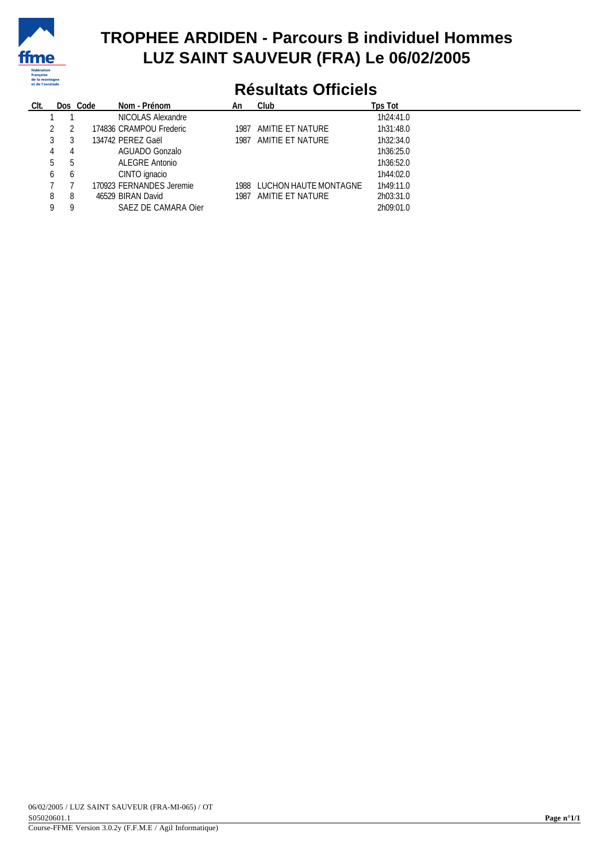

## **TROPHEE ARDIDEN - Parcours B individuel Hommes LUZ SAINT SAUVEUR (FRA) Le 06/02/2005**

# **Résultats Officiels**

| CIt. |           | Dos Code | Nom - Prénom             | An   | Club                  | <b>Tps Tot</b> |  |
|------|-----------|----------|--------------------------|------|-----------------------|----------------|--|
|      |           |          | NICOLAS Alexandre        |      |                       | 1h24:41.0      |  |
|      |           |          | 174836 CRAMPOU Frederic  | 1987 | AMITIE ET NATURE      | 1h31:48.0      |  |
|      |           |          | 134742 PEREZ Gaël        | 1987 | AMITIE ET NATURE      | 1h32:34.0      |  |
|      | 4         |          | AGUADO Gonzalo           |      |                       | 1h36:25.0      |  |
|      | - 5<br>b. |          | ALEGRE Antonio           |      |                       | 1h36:52.0      |  |
|      | 6<br>6    |          | CINTO ignacio            |      |                       | 1h44:02.0      |  |
|      |           |          | 170923 FERNANDES Jeremie | 1988 | LUCHON HAUTE MONTAGNE | 1h49:11.0      |  |
|      | 8<br>8    |          | 46529 BIRAN David        | 1987 | AMITIE ET NATURE      | 2h03:31.0      |  |
|      | 0<br>Q    |          | SAEZ DE CAMARA Oier      |      |                       | 2h09:01.0      |  |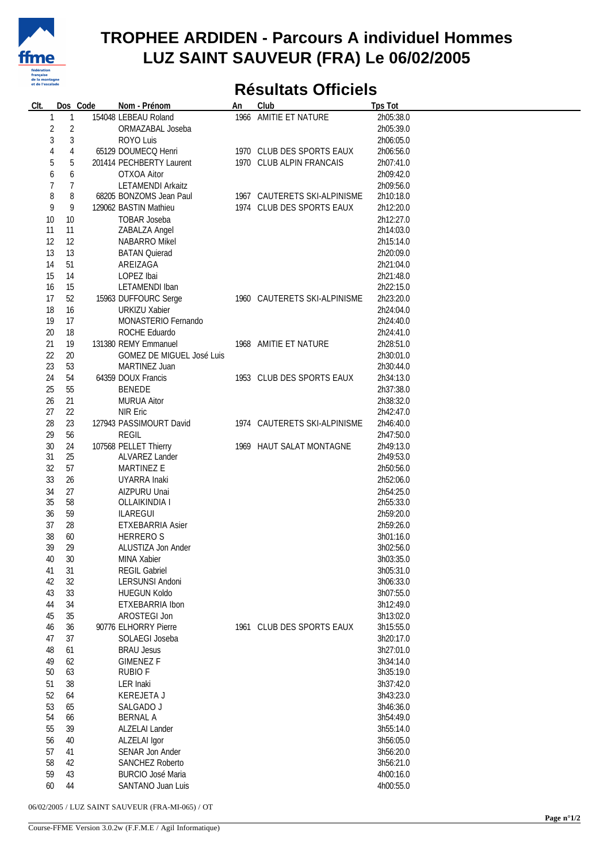

#### **TROPHEE ARDIDEN - Parcours A individuel Hommes LUZ SAINT SAUVEUR (FRA) Le 06/02/2005**

## **Résultats Officiels**

| CIt.           |                | Dos Code | Nom - Prénom              | An | Club                         | <b>Tps Tot</b> |
|----------------|----------------|----------|---------------------------|----|------------------------------|----------------|
| 1              | 1              |          | 154048 LEBEAU Roland      |    | 1966 AMITIE ET NATURE        | 2h05:38.0      |
| $\sqrt{2}$     | $\overline{2}$ |          | ORMAZABAL Joseba          |    |                              | 2h05:39.0      |
|                |                |          |                           |    |                              |                |
| 3              | 3              |          | ROYO Luis                 |    |                              | 2h06:05.0      |
| $\overline{4}$ | 4              |          | 65129 DOUMECQ Henri       |    | 1970 CLUB DES SPORTS EAUX    | 2h06:56.0      |
| 5              | 5              |          | 201414 PECHBERTY Laurent  |    | 1970 CLUB ALPIN FRANCAIS     | 2h07:41.0      |
| 6              | 6              |          | OTXOA Aitor               |    |                              | 2h09:42.0      |
| 7              | 7              |          | <b>LETAMENDI Arkaitz</b>  |    |                              | 2h09:56.0      |
|                |                |          |                           |    |                              |                |
| 8              | 8              |          | 68205 BONZOMS Jean Paul   |    | 1967 CAUTERETS SKI-ALPINISME | 2h10:18.0      |
| 9              | 9              |          | 129062 BASTIN Mathieu     |    | 1974 CLUB DES SPORTS EAUX    | 2h12:20.0      |
| 10             | $10$           |          | TOBAR Joseba              |    |                              | 2h12:27.0      |
| 11             | 11             |          | ZABALZA Angel             |    |                              | 2h14:03.0      |
| 12             | 12             |          | NABARRO Mikel             |    |                              | 2h15:14.0      |
| 13             | 13             |          | <b>BATAN Quierad</b>      |    |                              | 2h20:09.0      |
|                |                |          |                           |    |                              |                |
| 14             | 51             |          | AREIZAGA                  |    |                              | 2h21:04.0      |
| 15             | 14             |          | LOPEZ Ibai                |    |                              | 2h21:48.0      |
| 16             | 15             |          | LETAMENDI Iban            |    |                              | 2h22:15.0      |
| 17             | 52             |          | 15963 DUFFOURC Serge      |    | 1960 CAUTERETS SKI-ALPINISME | 2h23:20.0      |
| 18             | 16             |          | <b>URKIZU Xabier</b>      |    |                              | 2h24:04.0      |
| 19             | 17             |          | MONASTERIO Fernando       |    |                              | 2h24:40.0      |
|                |                |          |                           |    |                              |                |
| 20             | 18             |          | ROCHE Eduardo             |    |                              | 2h24:41.0      |
| 21             | 19             |          | 131380 REMY Emmanuel      |    | 1968 AMITIE ET NATURE        | 2h28:51.0      |
| 22             | 20             |          | GOMEZ DE MIGUEL José Luis |    |                              | 2h30:01.0      |
| 23             | 53             |          | MARTINEZ Juan             |    |                              | 2h30:44.0      |
| 24             | 54             |          | 64359 DOUX Francis        |    | 1953 CLUB DES SPORTS EAUX    | 2h34:13.0      |
| 25             | 55             |          | <b>BENEDE</b>             |    |                              | 2h37:38.0      |
|                |                |          |                           |    |                              |                |
| 26             | 21             |          | <b>MURUA Aitor</b>        |    |                              | 2h38:32.0      |
| 27             | 22             |          | NIR Eric                  |    |                              | 2h42:47.0      |
| 28             | 23             |          | 127943 PASSIMOURT David   |    | 1974 CAUTERETS SKI-ALPINISME | 2h46:40.0      |
| 29             | 56             |          | <b>REGIL</b>              |    |                              | 2h47:50.0      |
| 30             | 24             |          | 107568 PELLET Thierry     |    | 1969 HAUT SALAT MONTAGNE     | 2h49:13.0      |
| 31             | 25             |          | ALVAREZ Lander            |    |                              | 2h49:53.0      |
|                |                |          |                           |    |                              |                |
| 32             | 57             |          | MARTINEZ E                |    |                              | 2h50:56.0      |
| 33             | 26             |          | UYARRA Inaki              |    |                              | 2h52:06.0      |
| 34             | 27             |          | AIZPURU Unai              |    |                              | 2h54:25.0      |
| 35             | 58             |          | OLLAIKINDIA I             |    |                              | 2h55:33.0      |
| 36             | 59             |          | <b>ILAREGUI</b>           |    |                              | 2h59:20.0      |
| 37             | 28             |          | ETXEBARRIA Asier          |    |                              | 2h59:26.0      |
|                |                |          |                           |    |                              |                |
| 38             | 60             |          | <b>HERREROS</b>           |    |                              | 3h01:16.0      |
| 39             | 29             |          | ALUSTIZA Jon Ander        |    |                              | 3h02:56.0      |
| 40             | 30             |          | MINA Xabier               |    |                              | 3h03:35.0      |
| 41             | 31             |          | <b>REGIL Gabriel</b>      |    |                              | 3h05:31.0      |
| 42             | 32             |          | LERSUNSI Andoni           |    |                              | 3h06:33.0      |
| 43             | 33             |          | <b>HUEGUN Koldo</b>       |    |                              | 3h07:55.0      |
| 44             | 34             |          | ETXEBARRIA Ibon           |    |                              | 3h12:49.0      |
|                |                |          |                           |    |                              |                |
| 45             | 35             |          | AROSTEGI Jon              |    |                              | 3h13:02.0      |
| 46             | 36             |          | 90776 ELHORRY Pierre      |    | 1961 CLUB DES SPORTS EAUX    | 3h15:55.0      |
| 47             | 37             |          | SOLAEGI Joseba            |    |                              | 3h20:17.0      |
| 48             | 61             |          | <b>BRAU Jesus</b>         |    |                              | 3h27:01.0      |
| 49             | 62             |          | <b>GIMENEZ F</b>          |    |                              | 3h34:14.0      |
| 50             | 63             |          | <b>RUBIOF</b>             |    |                              | 3h35:19.0      |
|                |                |          |                           |    |                              |                |
| 51             | 38             |          | LER Inaki                 |    |                              | 3h37:42.0      |
| 52             | 64             |          | KEREJETA J                |    |                              | 3h43:23.0      |
| 53             | 65             |          | SALGADO J                 |    |                              | 3h46:36.0      |
| 54             | 66             |          | <b>BERNAL A</b>           |    |                              | 3h54:49.0      |
| 55             | 39             |          | ALZELAI Lander            |    |                              | 3h55:14.0      |
|                | 40             |          | ALZELAI Igor              |    |                              | 3h56:05.0      |
| 56             |                |          |                           |    |                              |                |
| 57             | 41             |          | SENAR Jon Ander           |    |                              | 3h56:20.0      |
| 58             | 42             |          | <b>SANCHEZ Roberto</b>    |    |                              | 3h56:21.0      |
| 59             | 43             |          | <b>BURCIO José Maria</b>  |    |                              | 4h00:16.0      |
| 60             | 44             |          | SANTANO Juan Luis         |    |                              | 4h00:55.0      |
|                |                |          |                           |    |                              |                |

06/02/2005 / LUZ SAINT SAUVEUR (FRA-MI-065) / OT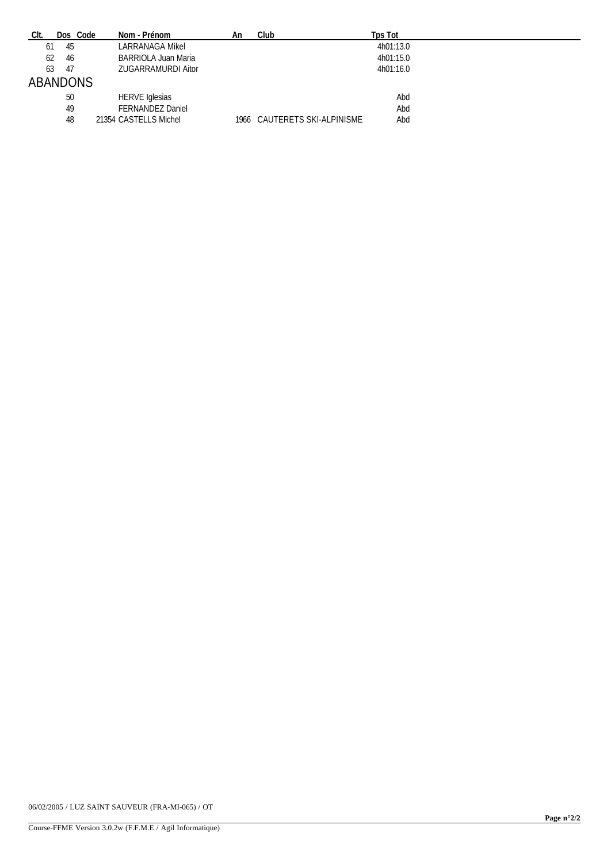| CIt.<br>Dos Code | Nom - Prénom               | An | Club                         | Tps Tot   |
|------------------|----------------------------|----|------------------------------|-----------|
| 61<br>45         | LARRANAGA Mikel            |    |                              | 4h01:13.0 |
| 62<br>-46        | <b>BARRIOLA Juan Maria</b> |    |                              | 4h01:15.0 |
| 63<br>-47        | ZUGARRAMURDI Aitor         |    |                              | 4h01:16.0 |
| ABANDONS         |                            |    |                              |           |
| 50               | <b>HERVE Iglesias</b>      |    |                              | Abd       |
| 49               | FERNANDEZ Daniel           |    |                              | Abd       |
| 48               | 21354 CASTELLS Michel      |    | 1966 CAUTERETS SKI-ALPINISME | Abd       |

06/02/2005 / LUZ SAINT SAUVEUR (FRA-MI-065) / OT